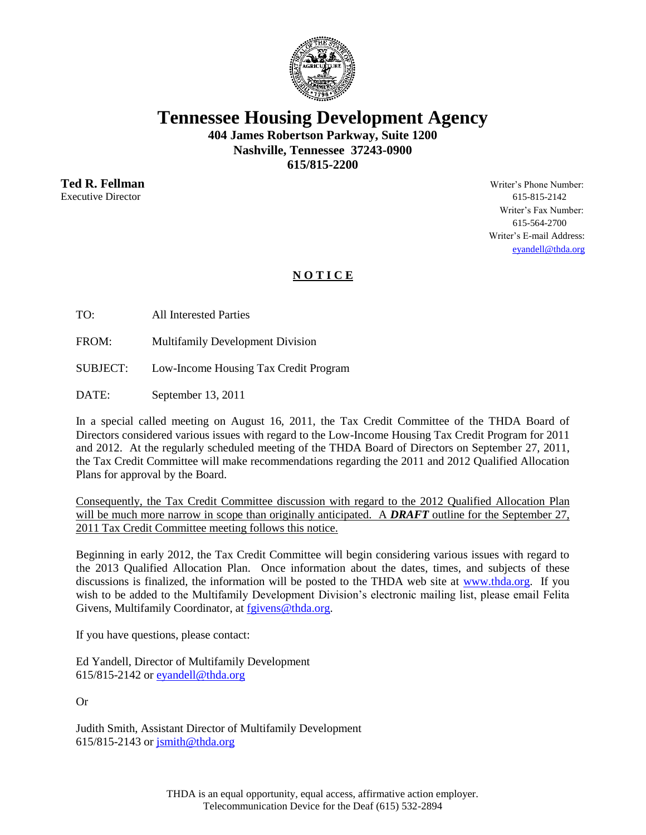

**Tennessee Housing Development Agency**

**404 James Robertson Parkway, Suite 1200 Nashville, Tennessee 37243-0900 615/815-2200**

Executive Director 615-815-2142

**Ted R. Fellman** Writer's Phone Number: Writer's Fax Number: 615-564-2700 Writer's E-mail Address: [eyandell@thda.org](mailto:eyandell@thda.org)

## **N O T I C E**

TO: All Interested Parties

FROM: Multifamily Development Division

SUBJECT: Low-Income Housing Tax Credit Program

DATE: September 13, 2011

In a special called meeting on August 16, 2011, the Tax Credit Committee of the THDA Board of Directors considered various issues with regard to the Low-Income Housing Tax Credit Program for 2011 and 2012. At the regularly scheduled meeting of the THDA Board of Directors on September 27, 2011, the Tax Credit Committee will make recommendations regarding the 2011 and 2012 Qualified Allocation Plans for approval by the Board.

Consequently, the Tax Credit Committee discussion with regard to the 2012 Qualified Allocation Plan will be much more narrow in scope than originally anticipated. A **DRAFT** outline for the September 27, 2011 Tax Credit Committee meeting follows this notice.

Beginning in early 2012, the Tax Credit Committee will begin considering various issues with regard to the 2013 Qualified Allocation Plan. Once information about the dates, times, and subjects of these discussions is finalized, the information will be posted to the THDA web site at [www.thda.org.](http://www.thda.org/) If you wish to be added to the Multifamily Development Division's electronic mailing list, please email Felita Givens, Multifamily Coordinator, at [fgivens@thda.org.](mailto:fgivens@thda.org)

If you have questions, please contact:

Ed Yandell, Director of Multifamily Development 615/815-2142 or [eyandell@thda.org](mailto:eyandell@thda.org)

Or

Judith Smith, Assistant Director of Multifamily Development 615/815-2143 or [jsmith@thda.org](mailto:jsmith@thda.org)